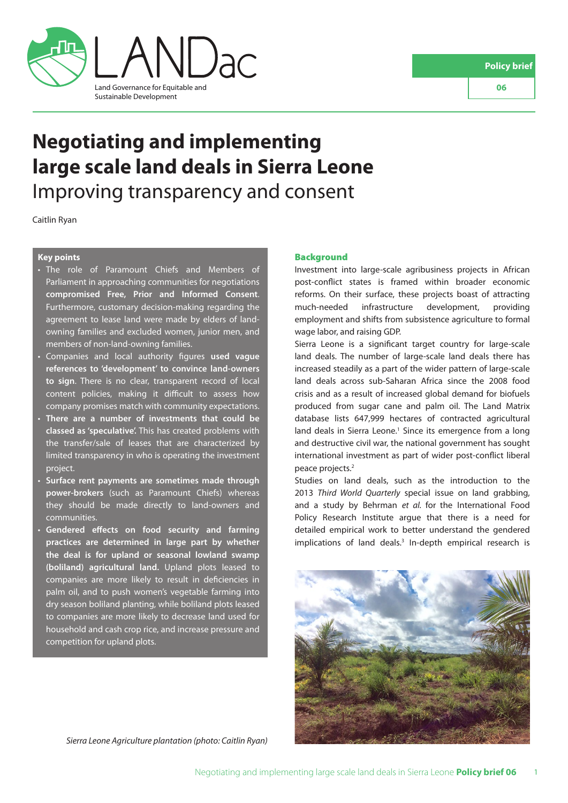

# **Negotiating and implementing large scale land deals in Sierra Leone** Improving transparency and consent

Caitlin Ryan

# **Key points**

- The role of Paramount Chiefs and Members of Parliament in approaching communities for negotiations **compromised Free, Prior and Informed Consent**. Furthermore, customary decision-making regarding the agreement to lease land were made by elders of landowning families and excluded women, junior men, and members of non-land-owning families.
- Companies and local authority figures **used vague references to 'development' to convince land-owners to sign**. There is no clear, transparent record of local content policies, making it difficult to assess how company promises match with community expectations.
- **There are a number of investments that could be classed as 'speculative'.** This has created problems with the transfer/sale of leases that are characterized by limited transparency in who is operating the investment project.
- **Surface rent payments are sometimes made through power-brokers** (such as Paramount Chiefs) whereas they should be made directly to land-owners and communities.
- **Gendered effects on food security and farming practices are determined in large part by whether the deal is for upland or seasonal lowland swamp (boliland) agricultural land.** Upland plots leased to companies are more likely to result in deficiencies in palm oil, and to push women's vegetable farming into dry season boliland planting, while boliland plots leased to companies are more likely to decrease land used for household and cash crop rice, and increase pressure and competition for upland plots.

## *Sierra Leone Agriculture plantation (photo: Caitlin Ryan)*

## **Background**

Investment into large-scale agribusiness projects in African post-conflict states is framed within broader economic reforms. On their surface, these projects boast of attracting much-needed infrastructure development, providing employment and shifts from subsistence agriculture to formal wage labor, and raising GDP.

Sierra Leone is a significant target country for large-scale land deals. The number of large-scale land deals there has increased steadily as a part of the wider pattern of large-scale land deals across sub-Saharan Africa since the 2008 food crisis and as a result of increased global demand for biofuels produced from sugar cane and palm oil. The Land Matrix database lists 647,999 hectares of contracted agricultural land deals in Sierra Leone.<sup>1</sup> Since its emergence from a long and destructive civil war, the national government has sought international investment as part of wider post-conflict liberal peace projects.2

Studies on land deals, such as the introduction to the 2013 *Third World Quarterly* special issue on land grabbing, and a study by Behrman *et al.* for the International Food Policy Research Institute argue that there is a need for detailed empirical work to better understand the gendered implications of land deals.<sup>3</sup> In-depth empirical research is

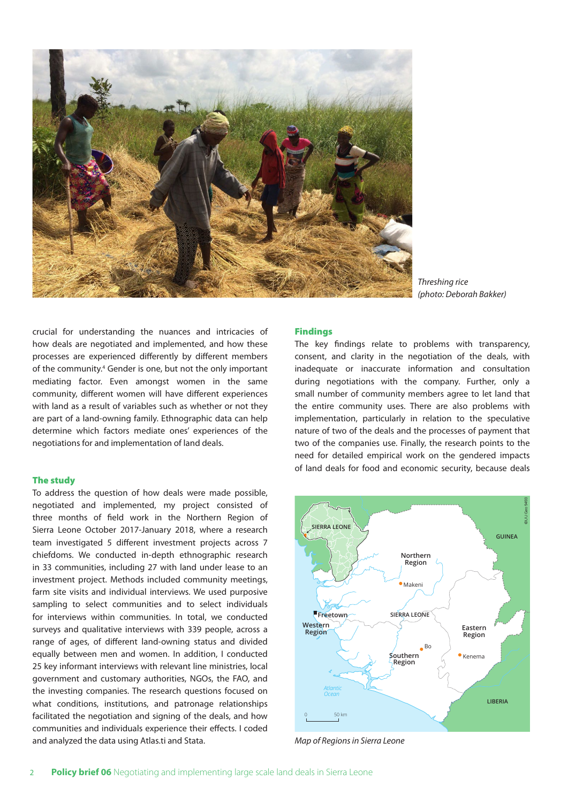

*Threshing rice (photo: Deborah Bakker)*

crucial for understanding the nuances and intricacies of how deals are negotiated and implemented, and how these processes are experienced differently by different members of the community.<sup>4</sup> Gender is one, but not the only important mediating factor. Even amongst women in the same community, different women will have different experiences with land as a result of variables such as whether or not they are part of a land-owning family. Ethnographic data can help determine which factors mediate ones' experiences of the negotiations for and implementation of land deals.

# The study

To address the question of how deals were made possible, negotiated and implemented, my project consisted of three months of field work in the Northern Region of Sierra Leone October 2017-January 2018, where a research team investigated 5 different investment projects across 7 chiefdoms. We conducted in-depth ethnographic research in 33 communities, including 27 with land under lease to an investment project. Methods included community meetings, farm site visits and individual interviews. We used purposive sampling to select communities and to select individuals for interviews within communities. In total, we conducted surveys and qualitative interviews with 339 people, across a range of ages, of different land-owning status and divided equally between men and women. In addition, I conducted 25 key informant interviews with relevant line ministries, local government and customary authorities, NGOs, the FAO, and the investing companies. The research questions focused on what conditions, institutions, and patronage relationships facilitated the negotiation and signing of the deals, and how communities and individuals experience their effects. I coded and analyzed the data using Atlas.ti and Stata.

# Findings

The key findings relate to problems with transparency, consent, and clarity in the negotiation of the deals, with inadequate or inaccurate information and consultation during negotiations with the company. Further, only a small number of community members agree to let land that the entire community uses. There are also problems with implementation, particularly in relation to the speculative nature of two of the deals and the processes of payment that two of the companies use. Finally, the research points to the need for detailed empirical work on the gendered impacts of land deals for food and economic security, because deals



*Map of Regions in Sierra Leone*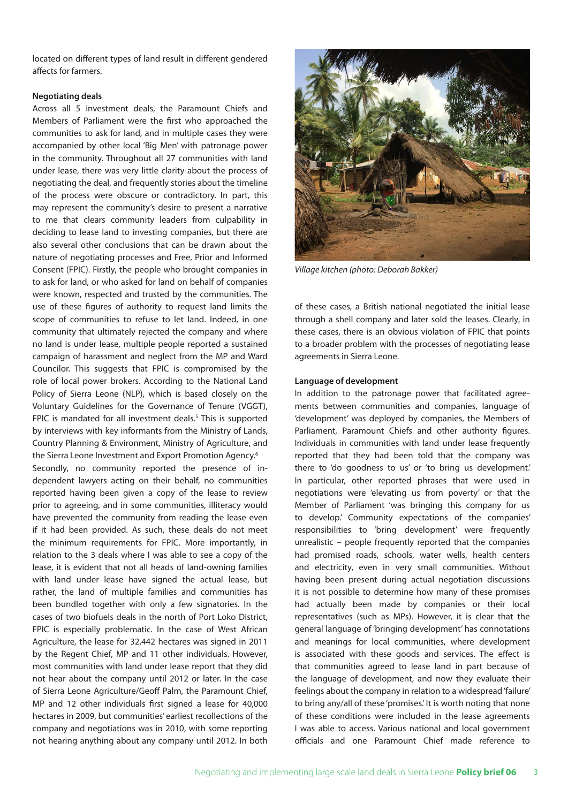located on different types of land result in different gendered affects for farmers.

## **Negotiating deals**

Across all 5 investment deals, the Paramount Chiefs and Members of Parliament were the first who approached the communities to ask for land, and in multiple cases they were accompanied by other local 'Big Men' with patronage power in the community. Throughout all 27 communities with land under lease, there was very little clarity about the process of negotiating the deal, and frequently stories about the timeline of the process were obscure or contradictory. In part, this may represent the community's desire to present a narrative to me that clears community leaders from culpability in deciding to lease land to investing companies, but there are also several other conclusions that can be drawn about the nature of negotiating processes and Free, Prior and Informed Consent (FPIC). Firstly, the people who brought companies in to ask for land, or who asked for land on behalf of companies were known, respected and trusted by the communities. The use of these figures of authority to request land limits the scope of communities to refuse to let land. Indeed, in one community that ultimately rejected the company and where no land is under lease, multiple people reported a sustained campaign of harassment and neglect from the MP and Ward Councilor. This suggests that FPIC is compromised by the role of local power brokers. According to the National Land Policy of Sierra Leone (NLP), which is based closely on the Voluntary Guidelines for the Governance of Tenure (VGGT), FPIC is mandated for all investment deals.<sup>5</sup> This is supported by interviews with key informants from the Ministry of Lands, Country Planning & Environment, Ministry of Agriculture, and the Sierra Leone Investment and Export Promotion Agency.6 Secondly, no community reported the presence of independent lawyers acting on their behalf, no communities reported having been given a copy of the lease to review prior to agreeing, and in some communities, illiteracy would have prevented the community from reading the lease even if it had been provided. As such, these deals do not meet the minimum requirements for FPIC. More importantly, in relation to the 3 deals where I was able to see a copy of the lease, it is evident that not all heads of land-owning families with land under lease have signed the actual lease, but rather, the land of multiple families and communities has been bundled together with only a few signatories. In the cases of two biofuels deals in the north of Port Loko District, FPIC is especially problematic. In the case of West African Agriculture, the lease for 32,442 hectares was signed in 2011 by the Regent Chief, MP and 11 other individuals. However, most communities with land under lease report that they did not hear about the company until 2012 or later. In the case of Sierra Leone Agriculture/Geoff Palm, the Paramount Chief, MP and 12 other individuals first signed a lease for 40,000 hectares in 2009, but communities' earliest recollections of the company and negotiations was in 2010, with some reporting not hearing anything about any company until 2012. In both



*Village kitchen (photo: Deborah Bakker)*

of these cases, a British national negotiated the initial lease through a shell company and later sold the leases. Clearly, in these cases, there is an obvious violation of FPIC that points to a broader problem with the processes of negotiating lease agreements in Sierra Leone.

## **Language of development**

In addition to the patronage power that facilitated agreements between communities and companies, language of 'development' was deployed by companies, the Members of Parliament, Paramount Chiefs and other authority figures. Individuals in communities with land under lease frequently reported that they had been told that the company was there to 'do goodness to us' or 'to bring us development.' In particular, other reported phrases that were used in negotiations were 'elevating us from poverty' or that the Member of Parliament 'was bringing this company for us to develop.' Community expectations of the companies' responsibilities to 'bring development' were frequently unrealistic – people frequently reported that the companies had promised roads, schools, water wells, health centers and electricity, even in very small communities. Without having been present during actual negotiation discussions it is not possible to determine how many of these promises had actually been made by companies or their local representatives (such as MPs). However, it is clear that the general language of 'bringing development' has connotations and meanings for local communities, where development is associated with these goods and services. The effect is that communities agreed to lease land in part because of the language of development, and now they evaluate their feelings about the company in relation to a widespread 'failure' to bring any/all of these 'promises.' It is worth noting that none of these conditions were included in the lease agreements I was able to access. Various national and local government officials and one Paramount Chief made reference to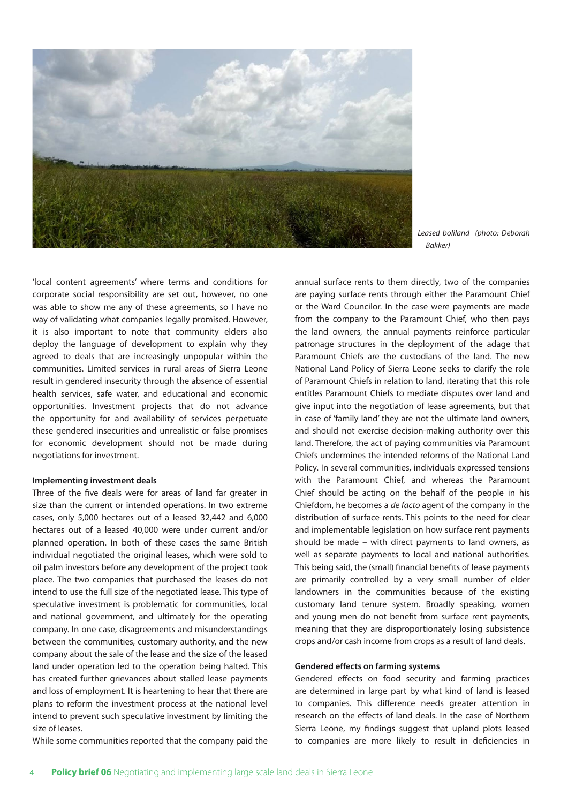

*Leased boliland (photo: Deborah Bakker)*

'local content agreements' where terms and conditions for corporate social responsibility are set out, however, no one was able to show me any of these agreements, so I have no way of validating what companies legally promised. However, it is also important to note that community elders also deploy the language of development to explain why they agreed to deals that are increasingly unpopular within the communities. Limited services in rural areas of Sierra Leone result in gendered insecurity through the absence of essential health services, safe water, and educational and economic opportunities. Investment projects that do not advance the opportunity for and availability of services perpetuate these gendered insecurities and unrealistic or false promises for economic development should not be made during negotiations for investment.

#### **Implementing investment deals**

Three of the five deals were for areas of land far greater in size than the current or intended operations. In two extreme cases, only 5,000 hectares out of a leased 32,442 and 6,000 hectares out of a leased 40,000 were under current and/or planned operation. In both of these cases the same British individual negotiated the original leases, which were sold to oil palm investors before any development of the project took place. The two companies that purchased the leases do not intend to use the full size of the negotiated lease. This type of speculative investment is problematic for communities, local and national government, and ultimately for the operating company. In one case, disagreements and misunderstandings between the communities, customary authority, and the new company about the sale of the lease and the size of the leased land under operation led to the operation being halted. This has created further grievances about stalled lease payments and loss of employment. It is heartening to hear that there are plans to reform the investment process at the national level intend to prevent such speculative investment by limiting the size of leases.

While some communities reported that the company paid the

annual surface rents to them directly, two of the companies are paying surface rents through either the Paramount Chief or the Ward Councilor. In the case were payments are made from the company to the Paramount Chief, who then pays the land owners, the annual payments reinforce particular patronage structures in the deployment of the adage that Paramount Chiefs are the custodians of the land. The new National Land Policy of Sierra Leone seeks to clarify the role of Paramount Chiefs in relation to land, iterating that this role entitles Paramount Chiefs to mediate disputes over land and give input into the negotiation of lease agreements, but that in case of 'family land' they are not the ultimate land owners, and should not exercise decision-making authority over this land. Therefore, the act of paying communities via Paramount Chiefs undermines the intended reforms of the National Land Policy. In several communities, individuals expressed tensions with the Paramount Chief, and whereas the Paramount Chief should be acting on the behalf of the people in his Chiefdom, he becomes a *de facto* agent of the company in the distribution of surface rents. This points to the need for clear and implementable legislation on how surface rent payments should be made – with direct payments to land owners, as well as separate payments to local and national authorities. This being said, the (small) financial benefits of lease payments are primarily controlled by a very small number of elder landowners in the communities because of the existing customary land tenure system. Broadly speaking, women and young men do not benefit from surface rent payments, meaning that they are disproportionately losing subsistence crops and/or cash income from crops as a result of land deals.

#### **Gendered effects on farming systems**

Gendered effects on food security and farming practices are determined in large part by what kind of land is leased to companies. This difference needs greater attention in research on the effects of land deals. In the case of Northern Sierra Leone, my findings suggest that upland plots leased to companies are more likely to result in deficiencies in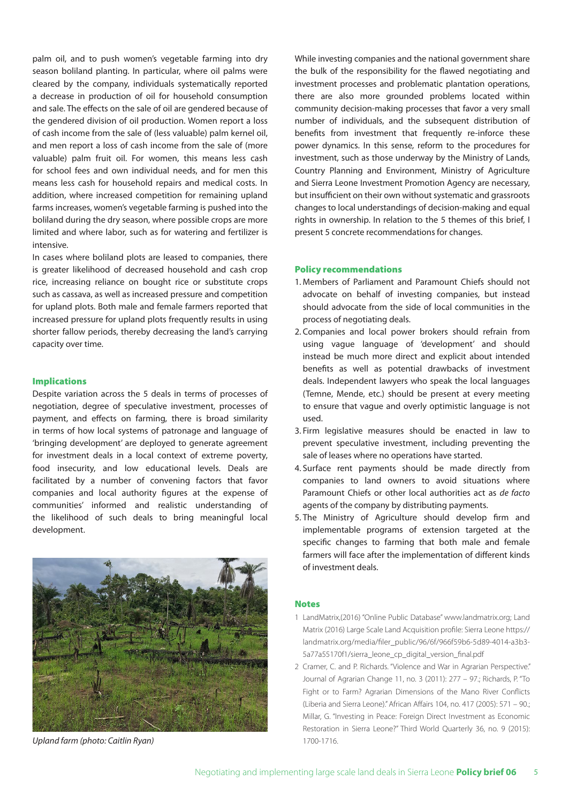palm oil, and to push women's vegetable farming into dry season boliland planting. In particular, where oil palms were cleared by the company, individuals systematically reported a decrease in production of oil for household consumption and sale. The effects on the sale of oil are gendered because of the gendered division of oil production. Women report a loss of cash income from the sale of (less valuable) palm kernel oil, and men report a loss of cash income from the sale of (more valuable) palm fruit oil. For women, this means less cash for school fees and own individual needs, and for men this means less cash for household repairs and medical costs. In addition, where increased competition for remaining upland farms increases, women's vegetable farming is pushed into the boliland during the dry season, where possible crops are more limited and where labor, such as for watering and fertilizer is intensive.

In cases where boliland plots are leased to companies, there is greater likelihood of decreased household and cash crop rice, increasing reliance on bought rice or substitute crops such as cassava, as well as increased pressure and competition for upland plots. Both male and female farmers reported that increased pressure for upland plots frequently results in using shorter fallow periods, thereby decreasing the land's carrying capacity over time.

## Implications

Despite variation across the 5 deals in terms of processes of negotiation, degree of speculative investment, processes of payment, and effects on farming, there is broad similarity in terms of how local systems of patronage and language of 'bringing development' are deployed to generate agreement for investment deals in a local context of extreme poverty, food insecurity, and low educational levels. Deals are facilitated by a number of convening factors that favor companies and local authority figures at the expense of communities' informed and realistic understanding of the likelihood of such deals to bring meaningful local development.



*Upland farm (photo: Caitlin Ryan)* 1700-1716.

While investing companies and the national government share the bulk of the responsibility for the flawed negotiating and investment processes and problematic plantation operations, there are also more grounded problems located within community decision-making processes that favor a very small number of individuals, and the subsequent distribution of benefits from investment that frequently re-inforce these power dynamics. In this sense, reform to the procedures for investment, such as those underway by the Ministry of Lands, Country Planning and Environment, Ministry of Agriculture and Sierra Leone Investment Promotion Agency are necessary, but insufficient on their own without systematic and grassroots changes to local understandings of decision-making and equal rights in ownership. In relation to the 5 themes of this brief, I present 5 concrete recommendations for changes.

#### Policy recommendations

- 1. Members of Parliament and Paramount Chiefs should not advocate on behalf of investing companies, but instead should advocate from the side of local communities in the process of negotiating deals.
- 2. Companies and local power brokers should refrain from using vague language of 'development' and should instead be much more direct and explicit about intended benefits as well as potential drawbacks of investment deals. Independent lawyers who speak the local languages (Temne, Mende, etc.) should be present at every meeting to ensure that vague and overly optimistic language is not used.
- 3. Firm legislative measures should be enacted in law to prevent speculative investment, including preventing the sale of leases where no operations have started.
- 4. Surface rent payments should be made directly from companies to land owners to avoid situations where Paramount Chiefs or other local authorities act as *de facto*  agents of the company by distributing payments.
- 5. The Ministry of Agriculture should develop firm and implementable programs of extension targeted at the specific changes to farming that both male and female farmers will face after the implementation of different kinds of investment deals.

#### **Notes**

- 1 LandMatrix,(2016) "Online Public Database" www.landmatrix.org; Land Matrix (2016) Large Scale Land Acquisition profile: Sierra Leone https:// landmatrix.org/media/filer\_public/96/6f/966f59b6-5d89-4014-a3b3- 5a77a55170f1/sierra\_leone\_cp\_digital\_version\_final.pdf
- 2 Cramer, C. and P. Richards. "Violence and War in Agrarian Perspective." Journal of Agrarian Change 11, no. 3 (2011): 277 – 97.; Richards, P. "To Fight or to Farm? Agrarian Dimensions of the Mano River Conflicts (Liberia and Sierra Leone)." African Affairs 104, no. 417 (2005): 571 – 90.; Millar, G. "Investing in Peace: Foreign Direct Investment as Economic Restoration in Sierra Leone?" Third World Quarterly 36, no. 9 (2015):